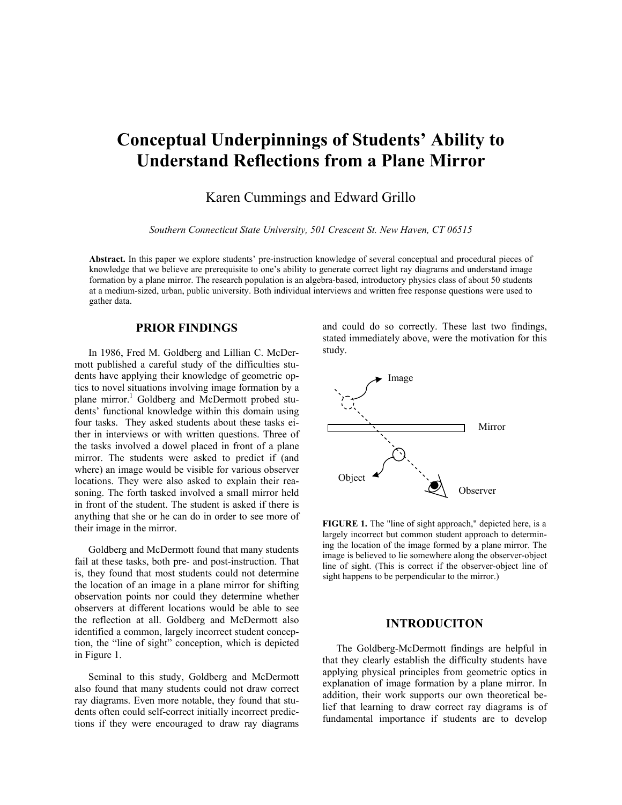# **Conceptual Underpinnings of Students' Ability to Understand Reflections from a Plane Mirror**

Karen Cummings and Edward Grillo

*Southern Connecticut State University, 501 Crescent St. New Haven, CT 06515* 

**Abstract.** In this paper we explore students' pre-instruction knowledge of several conceptual and procedural pieces of knowledge that we believe are prerequisite to one's ability to generate correct light ray diagrams and understand image formation by a plane mirror. The research population is an algebra-based, introductory physics class of about 50 students at a medium-sized, urban, public university. Both individual interviews and written free response questions were used to gather data.

# **PRIOR FINDINGS**

In 1986, Fred M. Goldberg and Lillian C. McDermott published a careful study of the difficulties students have applying their knowledge of geometric optics to novel situations involving image formation by a plane mirror.<sup>1</sup> Goldberg and McDermott probed students' functional knowledge within this domain using four tasks. They asked students about these tasks either in interviews or with written questions. Three of the tasks involved a dowel placed in front of a plane mirror. The students were asked to predict if (and where) an image would be visible for various observer locations. They were also asked to explain their reasoning. The forth tasked involved a small mirror held in front of the student. The student is asked if there is anything that she or he can do in order to see more of their image in the mirror.

Goldberg and McDermott found that many students fail at these tasks, both pre- and post-instruction. That is, they found that most students could not determine the location of an image in a plane mirror for shifting observation points nor could they determine whether observers at different locations would be able to see the reflection at all. Goldberg and McDermott also identified a common, largely incorrect student conception, the "line of sight" conception, which is depicted in Figure 1.

Seminal to this study, Goldberg and McDermott also found that many students could not draw correct ray diagrams. Even more notable, they found that students often could self-correct initially incorrect predictions if they were encouraged to draw ray diagrams and could do so correctly. These last two findings, stated immediately above, were the motivation for this study.



**FIGURE 1.** The "line of sight approach," depicted here, is a largely incorrect but common student approach to determining the location of the image formed by a plane mirror. The image is believed to lie somewhere along the observer-object line of sight. (This is correct if the observer-object line of sight happens to be perpendicular to the mirror.)

# **INTRODUCITON**

The Goldberg-McDermott findings are helpful in that they clearly establish the difficulty students have applying physical principles from geometric optics in explanation of image formation by a plane mirror. In addition, their work supports our own theoretical belief that learning to draw correct ray diagrams is of fundamental importance if students are to develop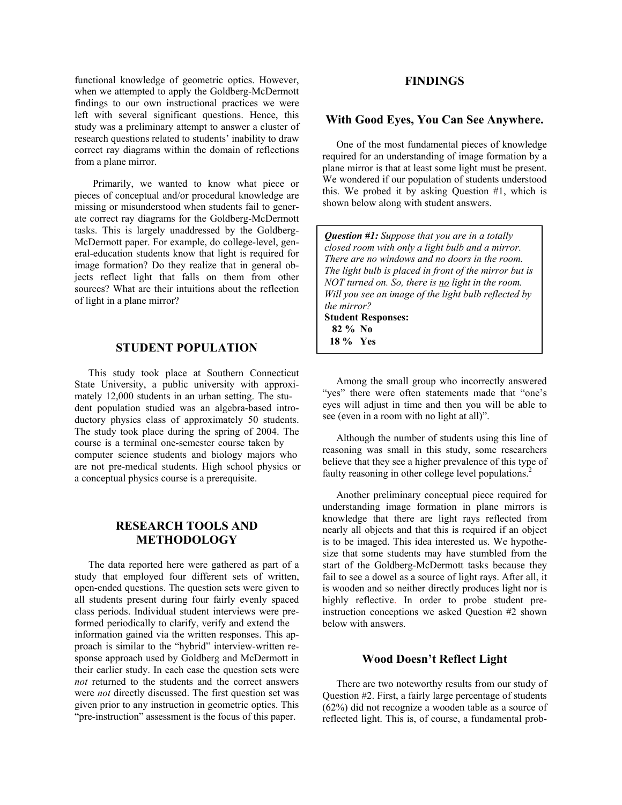functional knowledge of geometric optics. However, FINDINGS when we attempted to apply the Goldberg-McDermott findings to our own instructional practices we were left with several significant questions. Hence, this study was a preliminary attempt to answer a cluster of research questions related to students' inability to draw correct ray diagrams within the domain of reflections from a plane mirror.

Primarily, we wanted to know what piece or pieces of conceptual and/or procedural knowledge are missing or misunderstood when students fail to generate correct ray diagrams for the Goldberg-McDermott tasks. This is largely unaddressed by the Goldberg-McDermott paper. For example, do college-level, general-education students know that light is required for image formation? Do they realize that in general objects reflect light that falls on them from other sources? What are their intuitions about the reflection of light in a plane mirror?

# **STUDENT POPULATION**

This study took place at Southern Connecticut State University, a public university with approximately 12,000 students in an urban setting. The student population studied was an algebra-based introductory physics class of approximately 50 students. The study took place during the spring of 2004. The course is a terminal one-semester course taken by computer science students and biology majors who are not pre-medical students. High school physics or a conceptual physics course is a prerequisite.

# **RESEARCH TOOLS AND METHODOLOGY**

The data reported here were gathered as part of a study that employed four different sets of written, open-ended questions. The question sets were given to all students present during four fairly evenly spaced class periods. Individual student interviews were preformed periodically to clarify, verify and extend the information gained via the written responses. This approach is similar to the "hybrid" interview-written response approach used by Goldberg and McDermott in their earlier study. In each case the question sets were *not* returned to the students and the correct answers were *not* directly discussed. The first question set was given prior to any instruction in geometric optics. This "pre-instruction" assessment is the focus of this paper.

# **With Good Eyes, You Can See Anywhere.**

One of the most fundamental pieces of knowledge required for an understanding of image formation by a plane mirror is that at least some light must be present. We wondered if our population of students understood this. We probed it by asking Question #1, which is shown below along with student answers.

*Question #1: Suppose that you are in a totally closed room with only a light bulb and a mirror. There are no windows and no doors in the room. The light bulb is placed in front of the mirror but is NOT turned on. So, there is no light in the room. Will you see an image of the light bulb reflected by the mirror?*  **Student Responses: 82 % No 18 % Yes** 

Among the small group who incorrectly answered "yes" there were often statements made that "one's eyes will adjust in time and then you will be able to see (even in a room with no light at all)".

Although the number of students using this line of reasoning was small in this study, some researchers believe that they see a higher prevalence of this type of faulty reasoning in other college level populations.<sup>2</sup>

Another preliminary conceptual piece required for understanding image formation in plane mirrors is knowledge that there are light rays reflected from nearly all objects and that this is required if an object is to be imaged. This idea interested us. We hypothesize that some students may have stumbled from the start of the Goldberg-McDermott tasks because they fail to see a dowel as a source of light rays. After all, it is wooden and so neither directly produces light nor is highly reflective. In order to probe student preinstruction conceptions we asked Question #2 shown below with answers.

# **Wood Doesn't Reflect Light**

There are two noteworthy results from our study of Question #2. First, a fairly large percentage of students (62%) did not recognize a wooden table as a source of reflected light. This is, of course, a fundamental prob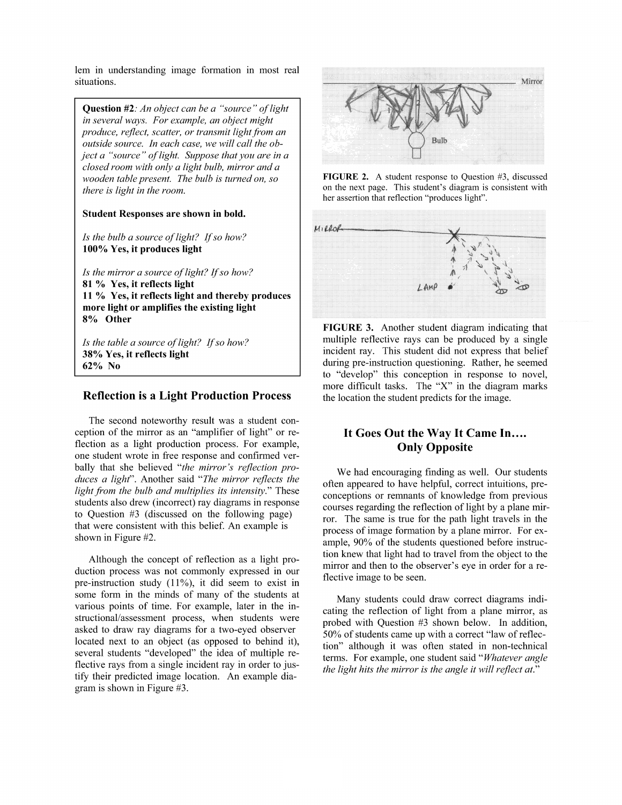lem in understanding image formation in most real situations.

**Question #2:** An object can be a "source" of light in several ways. For example, an object might produce, reflect, scatter, or transmit light from an outside source. In each case, we will call the object a "source" of light. Suppose that you are in a closed room with only a light bulb, mirror and a wooden table present. The bulb is turned on, so there is light in the room.

### Student Responses are shown in bold.

Is the bulb a source of light? If so how? 100% Yes, it produces light

Is the mirror a source of light? If so how? 81 % Yes, it reflects light 11 % Yes, it reflects light and thereby produces more light or amplifies the existing light 8% Other

Is the table a source of light? If so how? 38% Yes, it reflects light 62% No

## **Reflection is a Light Production Process**

The second noteworthy result was a student conception of the mirror as an "amplifier of light" or reflection as a light production process. For example, one student wrote in free response and confirmed verbally that she believed "the mirror's reflection produces a light". Another said "The mirror reflects the light from the bulb and multiplies its intensity." These students also drew (incorrect) ray diagrams in response to Question #3 (discussed on the following page) that were consistent with this belief. An example is shown in Figure #2.

Although the concept of reflection as a light production process was not commonly expressed in our pre-instruction study  $(11\%)$ , it did seem to exist in some form in the minds of many of the students at various points of time. For example, later in the instructional/assessment process, when students were asked to draw ray diagrams for a two-eyed observer located next to an object (as opposed to behind it), several students "developed" the idea of multiple reflective rays from a single incident ray in order to justify their predicted image location. An example diagram is shown in Figure #3.



FIGURE 2. A student response to Question #3, discussed on the next page. This student's diagram is consistent with her assertion that reflection "produces light".



FIGURE 3. Another student diagram indicating that multiple reflective rays can be produced by a single incident ray. This student did not express that belief during pre-instruction questioning. Rather, he seemed to "develop" this conception in response to novel, more difficult tasks. The "X" in the diagram marks the location the student predicts for the image.

# It Goes Out the Way It Came In.... **Only Opposite**

We had encouraging finding as well. Our students often appeared to have helpful, correct intuitions, preconceptions or remnants of knowledge from previous courses regarding the reflection of light by a plane mirror. The same is true for the path light travels in the process of image formation by a plane mirror. For example, 90% of the students questioned before instruction knew that light had to travel from the object to the mirror and then to the observer's eye in order for a reflective image to be seen.

Many students could draw correct diagrams indicating the reflection of light from a plane mirror, as probed with Question #3 shown below. In addition, 50% of students came up with a correct "law of reflection" although it was often stated in non-technical terms. For example, one student said "Whatever angle the light hits the mirror is the angle it will reflect at."